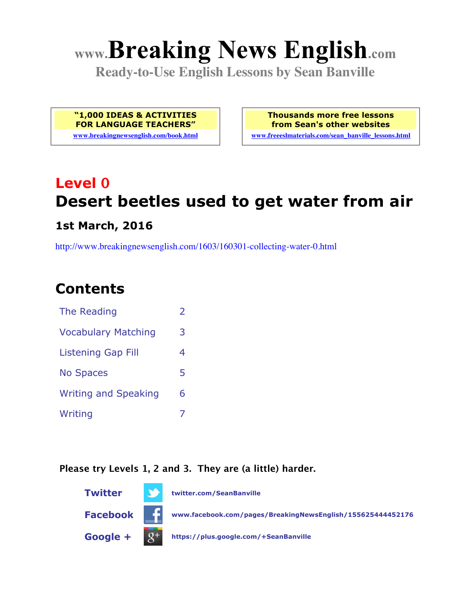# **www.Breaking News English.com**

**Ready-to-Use English Lessons by Sean Banville**

**"1,000 IDEAS & ACTIVITIES FOR LANGUAGE TEACHERS" www.breakingnewsenglish.com/book.html** **Thousands more free lessons from Sean's other websites**

**www.freeeslmaterials.com/sean\_banville\_lessons.html**

## **Level 0 Desert beetles used to get water from air**

#### **1st March, 2016**

http://www.breakingnewsenglish.com/1603/160301-collecting-water-0.html

### **Contents**

| The Reading                 | $\mathcal{L}$ |
|-----------------------------|---------------|
| <b>Vocabulary Matching</b>  | 3             |
| <b>Listening Gap Fill</b>   | 4             |
| <b>No Spaces</b>            | 5             |
| <b>Writing and Speaking</b> | 6             |
| Writing                     |               |

#### **Please try Levels 1, 2 and 3. They are (a little) harder.**

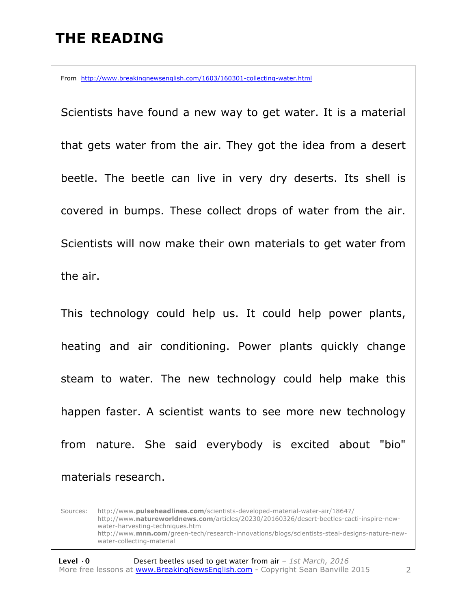### **THE READING**

From http://www.breakingnewsenglish.com/1603/160301-collecting-water.html

Scientists have found a new way to get water. It is a material that gets water from the air. They got the idea from a desert beetle. The beetle can live in very dry deserts. Its shell is covered in bumps. These collect drops of water from the air. Scientists will now make their own materials to get water from the air.

This technology could help us. It could help power plants, heating and air conditioning. Power plants quickly change steam to water. The new technology could help make this happen faster. A scientist wants to see more new technology from nature. She said everybody is excited about "bio" materials research.

Sources: http://www.**pulseheadlines.com**/scientists-developed-material-water-air/18647/ http://www.**natureworldnews.com**/articles/20230/20160326/desert-beetles-cacti-inspire-newwater-harvesting-techniques.htm http://www.**mnn.com**/green-tech/research-innovations/blogs/scientists-steal-designs-nature-newwater-collecting-material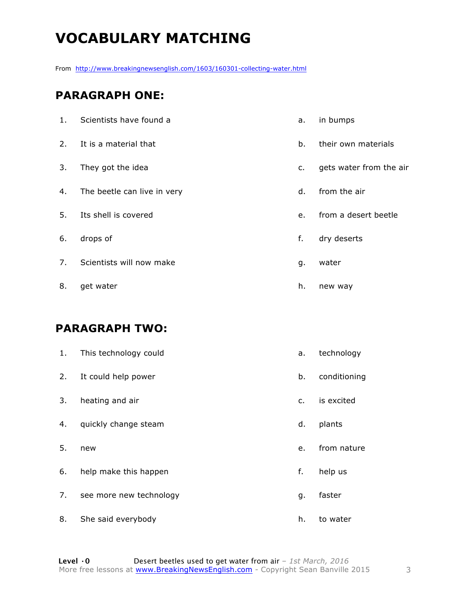### **VOCABULARY MATCHING**

From http://www.breakingnewsenglish.com/1603/160301-collecting-water.html

#### **PARAGRAPH ONE:**

| 1. | Scientists have found a     | a.             | in bumps                |
|----|-----------------------------|----------------|-------------------------|
| 2. | It is a material that       | b.             | their own materials     |
| 3. | They got the idea           | $\mathsf{C}$ . | gets water from the air |
| 4. | The beetle can live in very | d.             | from the air            |
| 5. | Its shell is covered        | e.             | from a desert beetle    |
| 6. | drops of                    | f.             | dry deserts             |
| 7. | Scientists will now make    | g.             | water                   |
| 8. | get water                   | h.             | new way                 |

#### **PARAGRAPH TWO:**

| 1. | This technology could   | a.            | technology   |
|----|-------------------------|---------------|--------------|
| 2. | It could help power     | b.            | conditioning |
| 3. | heating and air         | $C_{\bullet}$ | is excited   |
| 4. | quickly change steam    | d.            | plants       |
| 5. | new                     | e.            | from nature  |
| 6. | help make this happen   | f.            | help us      |
| 7. | see more new technology | g.            | faster       |
| 8. | She said everybody      | h.            | to water     |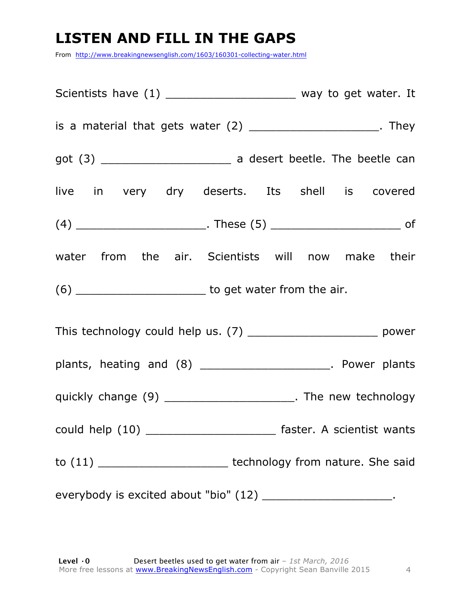### **LISTEN AND FILL IN THE GAPS**

From http://www.breakingnewsenglish.com/1603/160301-collecting-water.html

|                                                                | Scientists have (1) _________________________ way to get water. It    |  |  |
|----------------------------------------------------------------|-----------------------------------------------------------------------|--|--|
|                                                                | is a material that gets water $(2)$ ________________________. They    |  |  |
|                                                                |                                                                       |  |  |
|                                                                | live in very dry deserts. Its shell is covered                        |  |  |
|                                                                |                                                                       |  |  |
|                                                                | water from the air. Scientists will now make their                    |  |  |
|                                                                |                                                                       |  |  |
|                                                                | This technology could help us. (7) __________________________ power   |  |  |
|                                                                | plants, heating and (8) ______________________. Power plants          |  |  |
|                                                                | quickly change (9) _________________________. The new technology      |  |  |
|                                                                | could help (10) ___________________________ faster. A scientist wants |  |  |
|                                                                | to (11) ___________________________ technology from nature. She said  |  |  |
| everybody is excited about "bio" (12) _______________________. |                                                                       |  |  |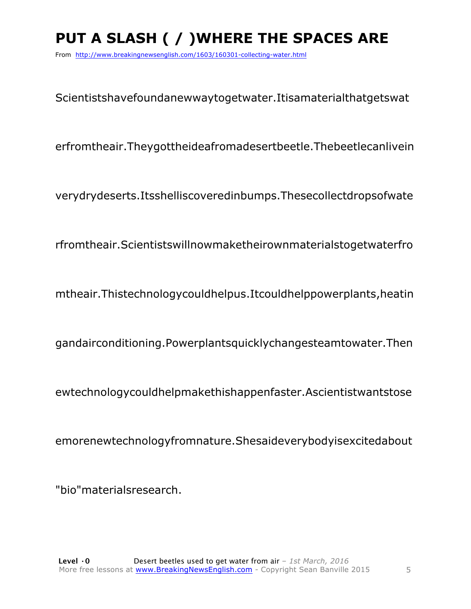### **PUT A SLASH ( / )WHERE THE SPACES ARE**

From http://www.breakingnewsenglish.com/1603/160301-collecting-water.html

Scientistshavefoundanewwaytogetwater.Itisamaterialthatgetswat

erfromtheair.Theygottheideafromadesertbeetle.Thebeetlecanlivein

verydrydeserts.Itsshelliscoveredinbumps.Thesecollectdropsofwate

rfromtheair.Scientistswillnowmaketheirownmaterialstogetwaterfro

mtheair.Thistechnologycouldhelpus.Itcouldhelppowerplants,heatin

gandairconditioning.Powerplantsquicklychangesteamtowater.Then

ewtechnologycouldhelpmakethishappenfaster.Ascientistwantstose

emorenewtechnologyfromnature.Shesaideverybodyisexcitedabout

"bio"materialsresearch.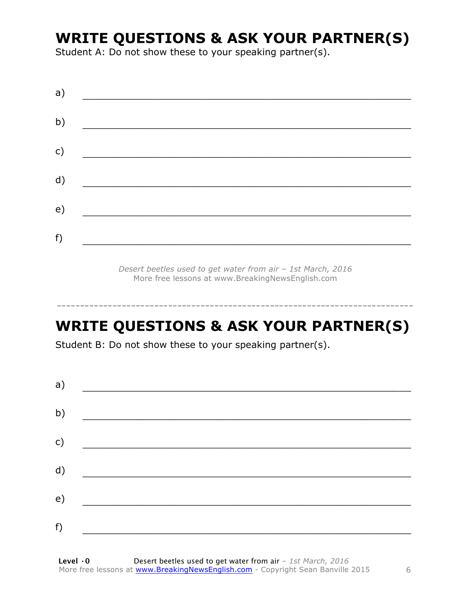### **WRITE QUESTIONS & ASK YOUR PARTNER(S)**

Student A: Do not show these to your speaking partner(s).

| a) |  |  |
|----|--|--|
| b) |  |  |
| c) |  |  |
| d) |  |  |
| e) |  |  |
| f) |  |  |
|    |  |  |

*Desert beetles used to get water from air – 1st March, 2016* More free lessons at www.BreakingNewsEnglish.com

### **WRITE QUESTIONS & ASK YOUR PARTNER(S)**

-----------------------------------------------------------------------------

Student B: Do not show these to your speaking partner(s).

| a) |  |  |
|----|--|--|
| b) |  |  |
| c) |  |  |
| d) |  |  |
| e) |  |  |
| f) |  |  |
|    |  |  |